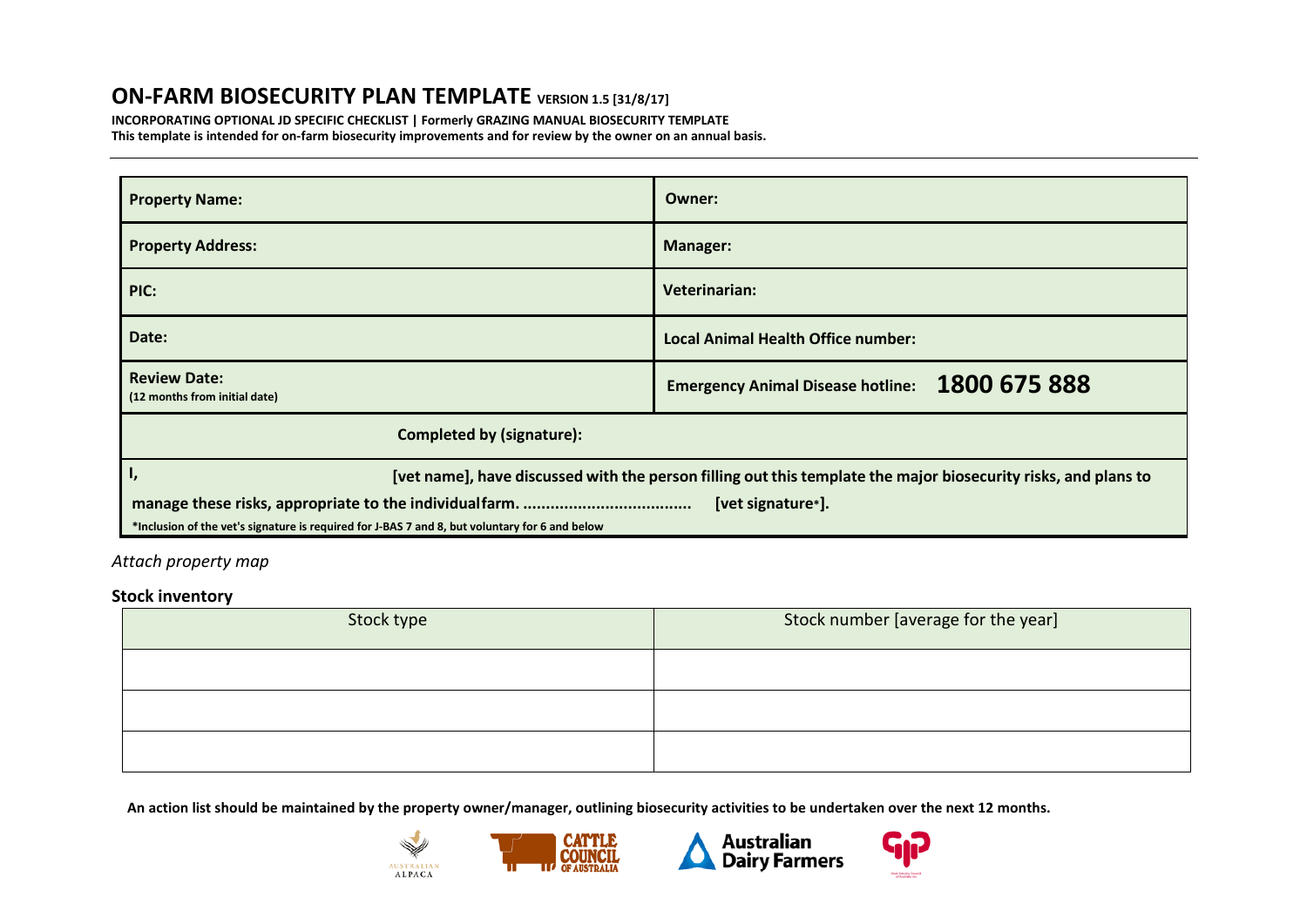## **ON-FARM BIOSECURITY PLAN TEMPLATE VERSION 1.5 [31/8/17]**

**INCORPORATING OPTIONAL JD SPECIFIC CHECKLIST | Formerly GRAZING MANUAL BIOSECURITY TEMPLATE This template is intended for on-farm biosecurity improvements and for review by the owner on an annual basis.**

| <b>Property Name:</b>                                                                          | Owner:                                                                                                         |  |  |  |
|------------------------------------------------------------------------------------------------|----------------------------------------------------------------------------------------------------------------|--|--|--|
| <b>Property Address:</b>                                                                       | <b>Manager:</b>                                                                                                |  |  |  |
| PIC:                                                                                           | Veterinarian:                                                                                                  |  |  |  |
| Date:                                                                                          | Local Animal Health Office number:                                                                             |  |  |  |
| <b>Review Date:</b><br>(12 months from initial date)                                           | Emergency Animal Disease hotline: 1800 675 888                                                                 |  |  |  |
| <b>Completed by (signature):</b>                                                               |                                                                                                                |  |  |  |
| ı,                                                                                             | [vet name], have discussed with the person filling out this template the major biosecurity risks, and plans to |  |  |  |
| *Inclusion of the vet's signature is required for J-BAS 7 and 8, but voluntary for 6 and below | [vet signature*].                                                                                              |  |  |  |

## *Attach property map*

## **Stock inventory**

| Stock type | Stock number [average for the year] |
|------------|-------------------------------------|
|            |                                     |
|            |                                     |
|            |                                     |

**An action list should be maintained by the property owner/manager, outlining biosecurity activities to be undertaken over the next 12 months.**







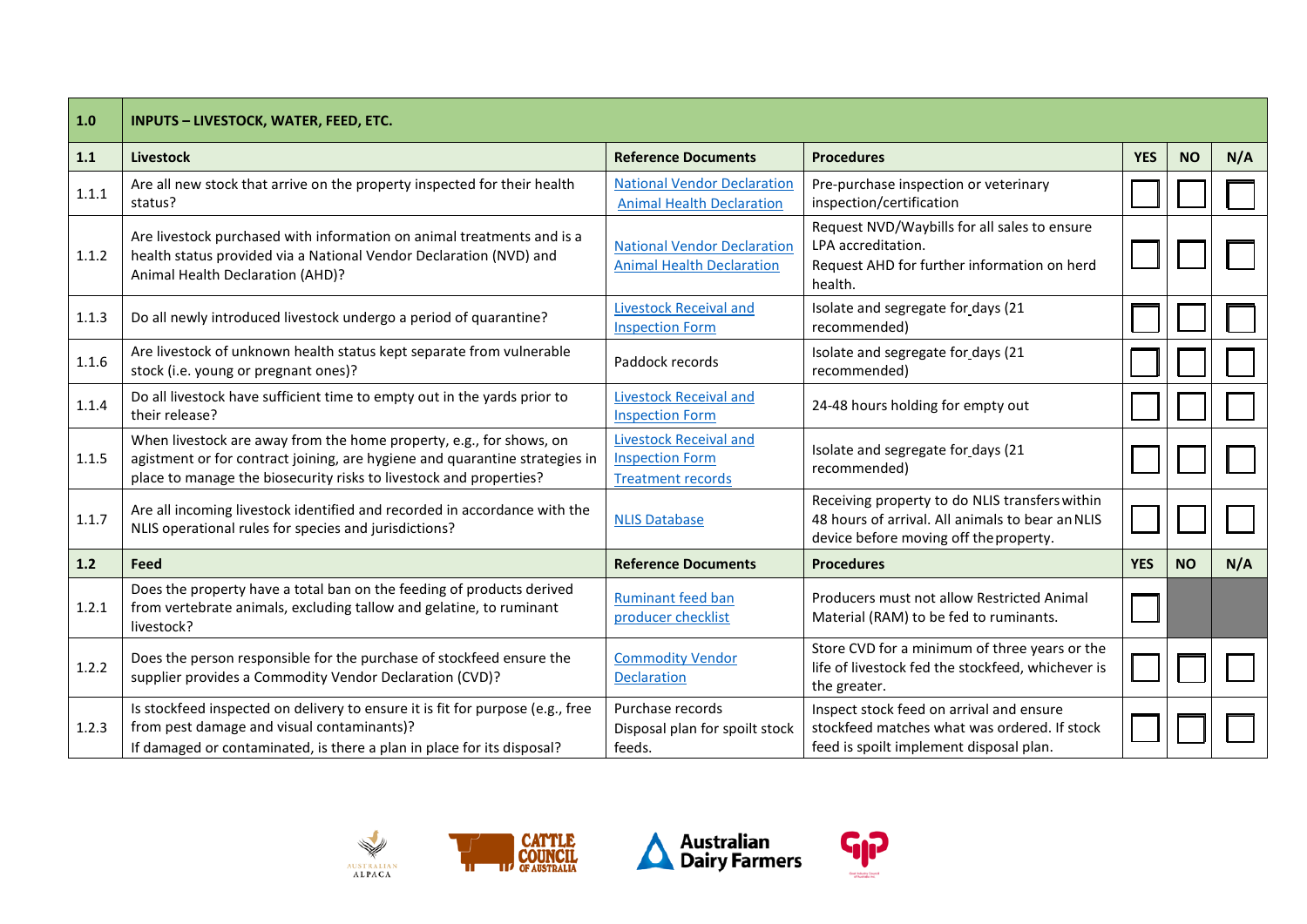| 1.0   | INPUTS - LIVESTOCK, WATER, FEED, ETC.                                                                                                                                                                                    |                                                                                     |                                                                                                                                              |            |           |     |
|-------|--------------------------------------------------------------------------------------------------------------------------------------------------------------------------------------------------------------------------|-------------------------------------------------------------------------------------|----------------------------------------------------------------------------------------------------------------------------------------------|------------|-----------|-----|
| 1.1   | <b>Livestock</b>                                                                                                                                                                                                         | <b>Reference Documents</b>                                                          | <b>Procedures</b>                                                                                                                            | <b>YES</b> | <b>NO</b> | N/A |
| 1.1.1 | Are all new stock that arrive on the property inspected for their health<br>status?                                                                                                                                      | <b>National Vendor Declaration</b><br><b>Animal Health Declaration</b>              | Pre-purchase inspection or veterinary<br>inspection/certification                                                                            |            |           |     |
| 1.1.2 | Are livestock purchased with information on animal treatments and is a<br>health status provided via a National Vendor Declaration (NVD) and<br>Animal Health Declaration (AHD)?                                         | <b>National Vendor Declaration</b><br><b>Animal Health Declaration</b>              | Request NVD/Waybills for all sales to ensure<br>LPA accreditation.<br>Request AHD for further information on herd<br>health.                 |            |           |     |
| 1.1.3 | Do all newly introduced livestock undergo a period of quarantine?                                                                                                                                                        | <b>Livestock Receival and</b><br><b>Inspection Form</b>                             | Isolate and segregate for days (21<br>recommended)                                                                                           |            |           |     |
| 1.1.6 | Are livestock of unknown health status kept separate from vulnerable<br>stock (i.e. young or pregnant ones)?                                                                                                             | Paddock records                                                                     | Isolate and segregate for days (21<br>recommended)                                                                                           |            |           |     |
| 1.1.4 | Do all livestock have sufficient time to empty out in the yards prior to<br>their release?                                                                                                                               | <b>Livestock Receival and</b><br><b>Inspection Form</b>                             | 24-48 hours holding for empty out                                                                                                            |            |           |     |
| 1.1.5 | When livestock are away from the home property, e.g., for shows, on<br>agistment or for contract joining, are hygiene and quarantine strategies in<br>place to manage the biosecurity risks to livestock and properties? | <b>Livestock Receival and</b><br><b>Inspection Form</b><br><b>Treatment records</b> | Isolate and segregate for days (21<br>recommended)                                                                                           |            |           |     |
| 1.1.7 | Are all incoming livestock identified and recorded in accordance with the<br>NLIS operational rules for species and jurisdictions?                                                                                       | <b>NLIS Database</b>                                                                | Receiving property to do NLIS transfers within<br>48 hours of arrival. All animals to bear an NLIS<br>device before moving off the property. |            |           |     |
| 1.2   | Feed                                                                                                                                                                                                                     | <b>Reference Documents</b>                                                          | <b>Procedures</b>                                                                                                                            | <b>YES</b> | <b>NO</b> | N/A |
| 1.2.1 | Does the property have a total ban on the feeding of products derived<br>from vertebrate animals, excluding tallow and gelatine, to ruminant<br>livestock?                                                               | <b>Ruminant feed ban</b><br>producer checklist                                      | Producers must not allow Restricted Animal<br>Material (RAM) to be fed to ruminants.                                                         |            |           |     |
| 1.2.2 | Does the person responsible for the purchase of stockfeed ensure the<br>supplier provides a Commodity Vendor Declaration (CVD)?                                                                                          | <b>Commodity Vendor</b><br><b>Declaration</b>                                       | Store CVD for a minimum of three years or the<br>life of livestock fed the stockfeed, whichever is<br>the greater.                           |            |           |     |
| 1.2.3 | Is stockfeed inspected on delivery to ensure it is fit for purpose (e.g., free<br>from pest damage and visual contaminants)?<br>If damaged or contaminated, is there a plan in place for its disposal?                   | Purchase records<br>Disposal plan for spoilt stock<br>feeds.                        | Inspect stock feed on arrival and ensure<br>stockfeed matches what was ordered. If stock<br>feed is spoilt implement disposal plan.          |            |           |     |







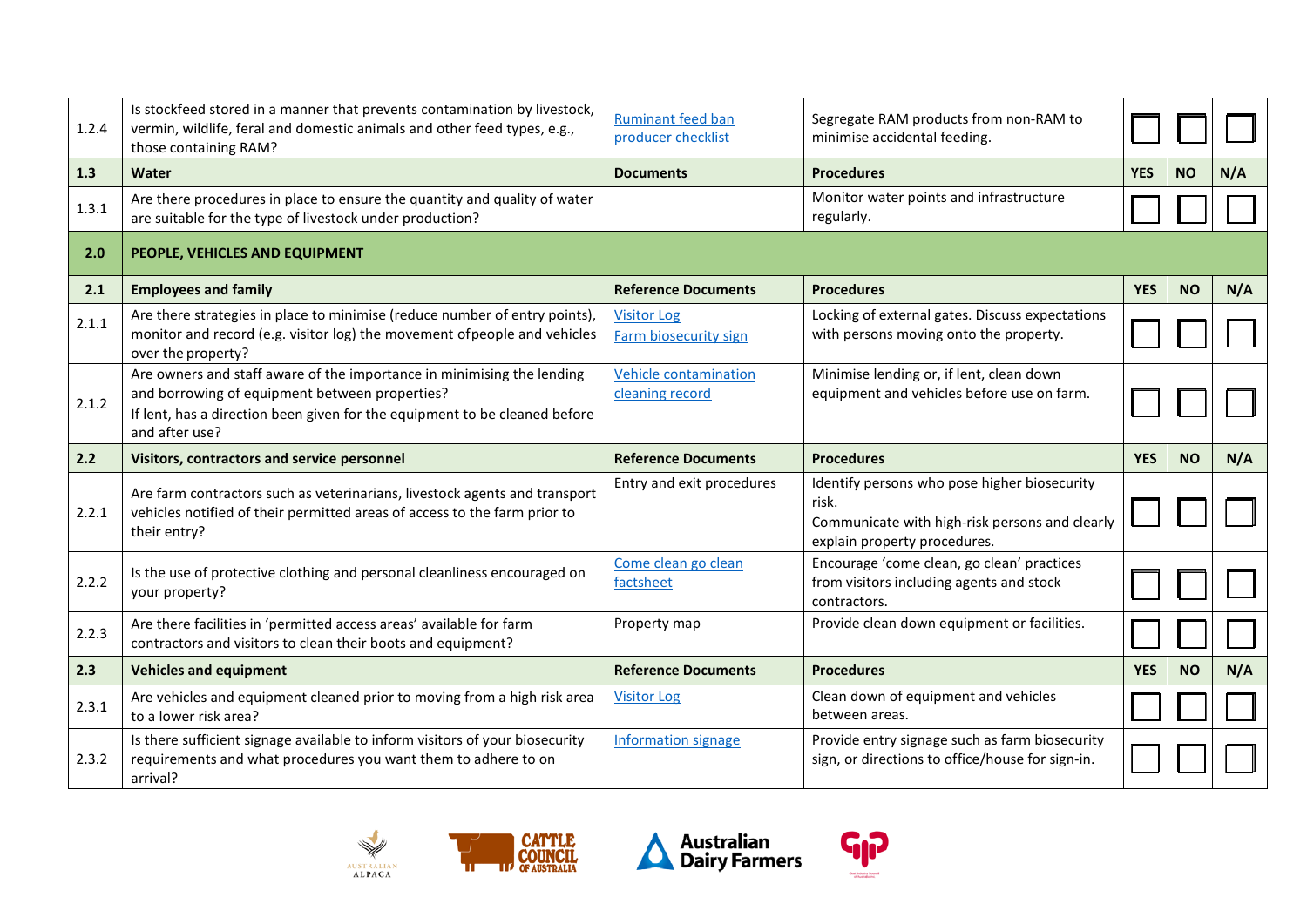| 1.2.4 | Is stockfeed stored in a manner that prevents contamination by livestock,<br>vermin, wildlife, feral and domestic animals and other feed types, e.g.,<br>those containing RAM?                                           | <b>Ruminant feed ban</b><br>producer checklist  | Segregate RAM products from non-RAM to<br>minimise accidental feeding.                                                                  |            |           |     |
|-------|--------------------------------------------------------------------------------------------------------------------------------------------------------------------------------------------------------------------------|-------------------------------------------------|-----------------------------------------------------------------------------------------------------------------------------------------|------------|-----------|-----|
| 1.3   | Water                                                                                                                                                                                                                    | <b>Documents</b>                                | <b>Procedures</b>                                                                                                                       | <b>YES</b> | <b>NO</b> | N/A |
| 1.3.1 | Are there procedures in place to ensure the quantity and quality of water<br>are suitable for the type of livestock under production?                                                                                    |                                                 | Monitor water points and infrastructure<br>regularly.                                                                                   |            |           |     |
| 2.0   | PEOPLE, VEHICLES AND EQUIPMENT                                                                                                                                                                                           |                                                 |                                                                                                                                         |            |           |     |
| 2.1   | <b>Employees and family</b>                                                                                                                                                                                              | <b>Reference Documents</b>                      | <b>Procedures</b>                                                                                                                       | <b>YES</b> | <b>NO</b> | N/A |
| 2.1.1 | Are there strategies in place to minimise (reduce number of entry points),<br>monitor and record (e.g. visitor log) the movement of people and vehicles<br>over the property?                                            | <b>Visitor Log</b><br>Farm biosecurity sign     | Locking of external gates. Discuss expectations<br>with persons moving onto the property.                                               |            |           |     |
| 2.1.2 | Are owners and staff aware of the importance in minimising the lending<br>and borrowing of equipment between properties?<br>If lent, has a direction been given for the equipment to be cleaned before<br>and after use? | <b>Vehicle contamination</b><br>cleaning record | Minimise lending or, if lent, clean down<br>equipment and vehicles before use on farm.                                                  |            |           |     |
| 2.2   | Visitors, contractors and service personnel                                                                                                                                                                              | <b>Reference Documents</b>                      | <b>Procedures</b>                                                                                                                       |            |           |     |
|       |                                                                                                                                                                                                                          |                                                 |                                                                                                                                         | <b>YES</b> | <b>NO</b> | N/A |
| 2.2.1 | Are farm contractors such as veterinarians, livestock agents and transport<br>vehicles notified of their permitted areas of access to the farm prior to<br>their entry?                                                  | Entry and exit procedures                       | Identify persons who pose higher biosecurity<br>risk.<br>Communicate with high-risk persons and clearly<br>explain property procedures. |            |           |     |
| 2.2.2 | Is the use of protective clothing and personal cleanliness encouraged on<br>your property?                                                                                                                               | Come clean go clean<br>factsheet                | Encourage 'come clean, go clean' practices<br>from visitors including agents and stock<br>contractors.                                  |            |           |     |
| 2.2.3 | Are there facilities in 'permitted access areas' available for farm<br>contractors and visitors to clean their boots and equipment?                                                                                      | Property map                                    | Provide clean down equipment or facilities.                                                                                             |            |           |     |
| 2.3   | <b>Vehicles and equipment</b>                                                                                                                                                                                            | <b>Reference Documents</b>                      | <b>Procedures</b>                                                                                                                       | <b>YES</b> | <b>NO</b> | N/A |
| 2.3.1 | Are vehicles and equipment cleaned prior to moving from a high risk area<br>to a lower risk area?                                                                                                                        | <b>Visitor Log</b>                              | Clean down of equipment and vehicles<br>between areas.                                                                                  |            |           |     |







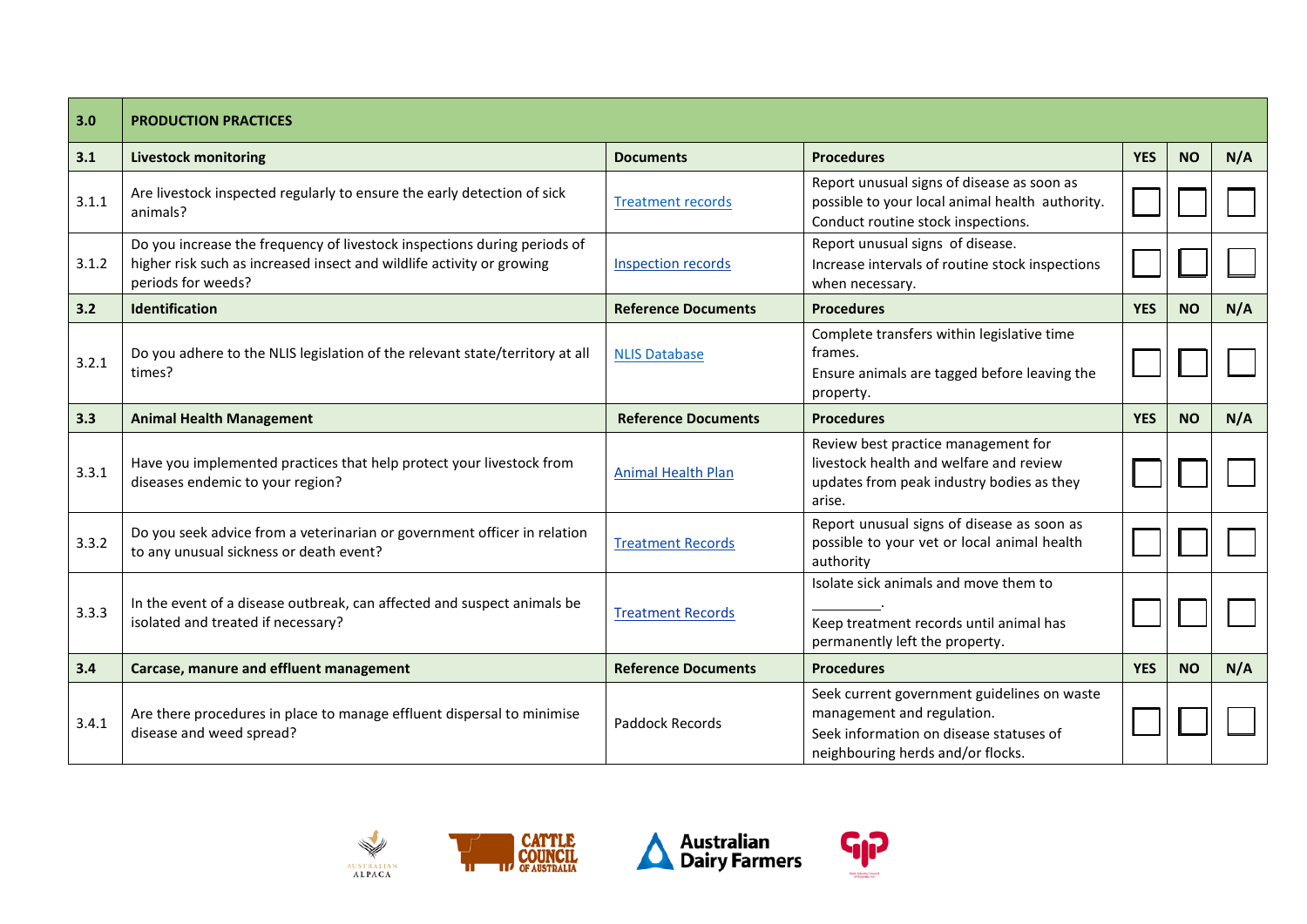| 3.0   | <b>PRODUCTION PRACTICES</b>                                                                                                                                             |                            |                                                                                                                                                           |            |           |     |
|-------|-------------------------------------------------------------------------------------------------------------------------------------------------------------------------|----------------------------|-----------------------------------------------------------------------------------------------------------------------------------------------------------|------------|-----------|-----|
| 3.1   | <b>Livestock monitoring</b>                                                                                                                                             | <b>Documents</b>           | <b>Procedures</b>                                                                                                                                         | <b>YES</b> | <b>NO</b> | N/A |
| 3.1.1 | Are livestock inspected regularly to ensure the early detection of sick<br>animals?                                                                                     | <b>Treatment records</b>   | Report unusual signs of disease as soon as<br>possible to your local animal health authority.<br>Conduct routine stock inspections.                       |            |           |     |
| 3.1.2 | Do you increase the frequency of livestock inspections during periods of<br>higher risk such as increased insect and wildlife activity or growing<br>periods for weeds? | <b>Inspection records</b>  | Report unusual signs of disease.<br>Increase intervals of routine stock inspections<br>when necessary.                                                    |            |           |     |
| 3.2   | Identification                                                                                                                                                          | <b>Reference Documents</b> | <b>Procedures</b>                                                                                                                                         | <b>YES</b> | <b>NO</b> | N/A |
| 3.2.1 | Do you adhere to the NLIS legislation of the relevant state/territory at all<br>times?                                                                                  | <b>NLIS Database</b>       | Complete transfers within legislative time<br>frames.<br>Ensure animals are tagged before leaving the<br>property.                                        |            |           |     |
| 3.3   | <b>Animal Health Management</b>                                                                                                                                         | <b>Reference Documents</b> | <b>Procedures</b>                                                                                                                                         | <b>YES</b> | <b>NO</b> | N/A |
| 3.3.1 | Have you implemented practices that help protect your livestock from<br>diseases endemic to your region?                                                                | <b>Animal Health Plan</b>  | Review best practice management for<br>livestock health and welfare and review<br>updates from peak industry bodies as they<br>arise.                     |            |           |     |
| 3.3.2 | Do you seek advice from a veterinarian or government officer in relation<br>to any unusual sickness or death event?                                                     | <b>Treatment Records</b>   | Report unusual signs of disease as soon as<br>possible to your vet or local animal health<br>authority                                                    |            |           |     |
| 3.3.3 | In the event of a disease outbreak, can affected and suspect animals be<br>isolated and treated if necessary?                                                           | <b>Treatment Records</b>   | Isolate sick animals and move them to<br>Keep treatment records until animal has<br>permanently left the property.                                        |            |           |     |
| 3.4   | Carcase, manure and effluent management                                                                                                                                 | <b>Reference Documents</b> | <b>Procedures</b>                                                                                                                                         | <b>YES</b> | <b>NO</b> | N/A |
| 3.4.1 | Are there procedures in place to manage effluent dispersal to minimise<br>disease and weed spread?                                                                      | Paddock Records            | Seek current government guidelines on waste<br>management and regulation.<br>Seek information on disease statuses of<br>neighbouring herds and/or flocks. |            |           |     |







**<sup>ငျဉ</sup>** 

Goat Industry Council<br>of Australia Inc.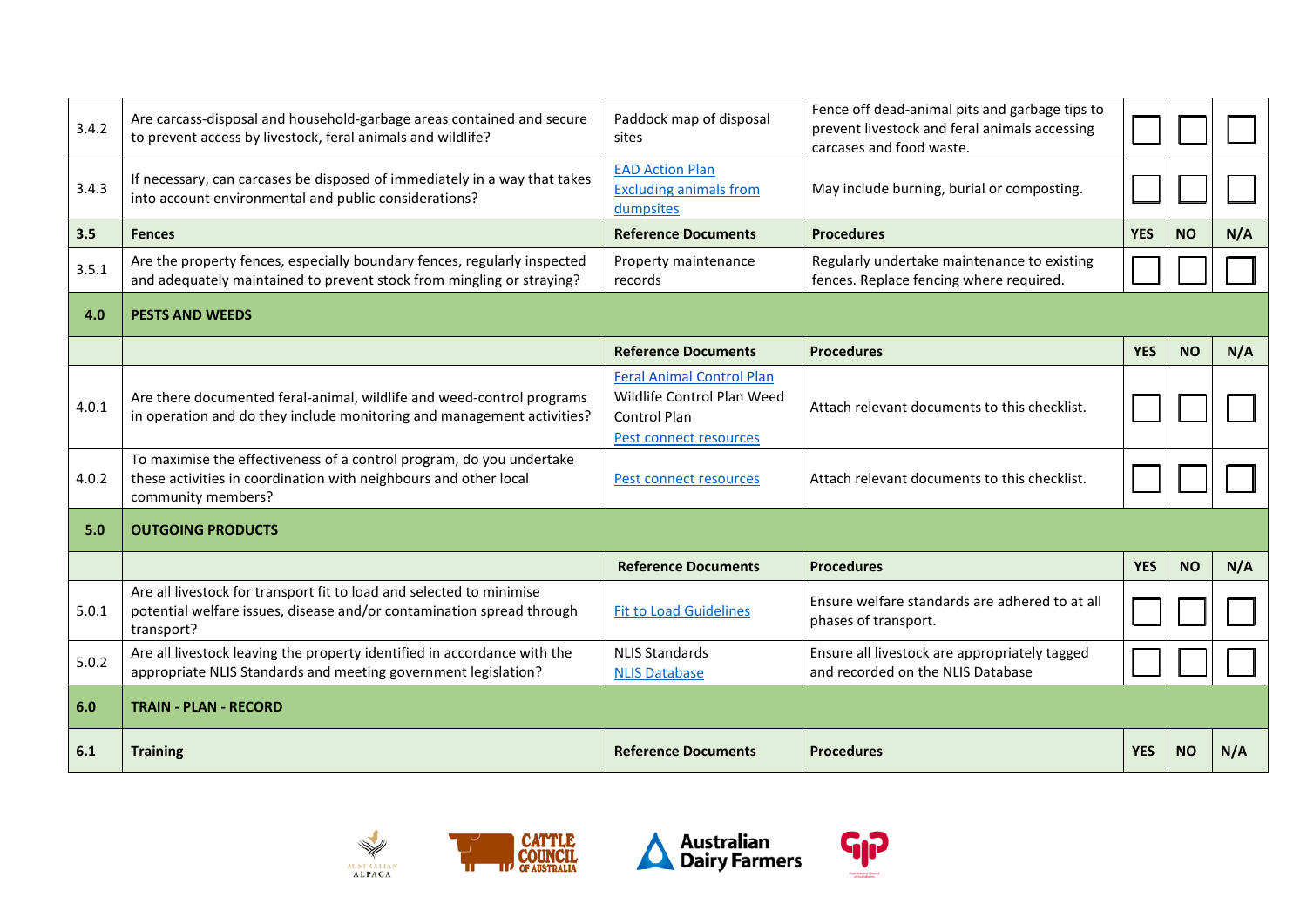| 3.4.2 | Are carcass-disposal and household-garbage areas contained and secure<br>to prevent access by livestock, feral animals and wildlife?                           | Paddock map of disposal<br>sites                                                                                | Fence off dead-animal pits and garbage tips to<br>prevent livestock and feral animals accessing<br>carcases and food waste. |            |           |     |
|-------|----------------------------------------------------------------------------------------------------------------------------------------------------------------|-----------------------------------------------------------------------------------------------------------------|-----------------------------------------------------------------------------------------------------------------------------|------------|-----------|-----|
| 3.4.3 | If necessary, can carcases be disposed of immediately in a way that takes<br>into account environmental and public considerations?                             | <b>EAD Action Plan</b><br><b>Excluding animals from</b><br>dumpsites                                            | May include burning, burial or composting.                                                                                  |            |           |     |
| 3.5   | <b>Fences</b>                                                                                                                                                  | <b>Reference Documents</b>                                                                                      | <b>Procedures</b>                                                                                                           | <b>YES</b> | <b>NO</b> | N/A |
| 3.5.1 | Are the property fences, especially boundary fences, regularly inspected<br>and adequately maintained to prevent stock from mingling or straying?              | Property maintenance<br>records                                                                                 | Regularly undertake maintenance to existing<br>fences. Replace fencing where required.                                      |            |           |     |
| 4.0   | <b>PESTS AND WEEDS</b>                                                                                                                                         |                                                                                                                 |                                                                                                                             |            |           |     |
|       |                                                                                                                                                                | <b>Reference Documents</b>                                                                                      | <b>Procedures</b>                                                                                                           | <b>YES</b> | <b>NO</b> | N/A |
| 4.0.1 | Are there documented feral-animal, wildlife and weed-control programs<br>in operation and do they include monitoring and management activities?                | <b>Feral Animal Control Plan</b><br>Wildlife Control Plan Weed<br><b>Control Plan</b><br>Pest connect resources | Attach relevant documents to this checklist.                                                                                |            |           |     |
| 4.0.2 | To maximise the effectiveness of a control program, do you undertake<br>these activities in coordination with neighbours and other local<br>community members? | Pest connect resources                                                                                          | Attach relevant documents to this checklist.                                                                                |            |           |     |
| 5.0   | <b>OUTGOING PRODUCTS</b>                                                                                                                                       |                                                                                                                 |                                                                                                                             |            |           |     |
|       |                                                                                                                                                                | <b>Reference Documents</b>                                                                                      | <b>Procedures</b>                                                                                                           | <b>YES</b> | <b>NO</b> | N/A |
| 5.0.1 | Are all livestock for transport fit to load and selected to minimise<br>potential welfare issues, disease and/or contamination spread through<br>transport?    | <b>Fit to Load Guidelines</b>                                                                                   | Ensure welfare standards are adhered to at all<br>phases of transport.                                                      |            |           |     |
| 5.0.2 | Are all livestock leaving the property identified in accordance with the<br>appropriate NLIS Standards and meeting government legislation?                     | <b>NLIS Standards</b><br><b>NLIS Database</b>                                                                   | Ensure all livestock are appropriately tagged<br>and recorded on the NLIS Database                                          |            |           |     |
| 6.0   | <b>TRAIN - PLAN - RECORD</b>                                                                                                                                   |                                                                                                                 |                                                                                                                             |            |           |     |
| 6.1   | <b>Training</b>                                                                                                                                                | <b>Reference Documents</b>                                                                                      | <b>Procedures</b>                                                                                                           | <b>YES</b> | <b>NO</b> | N/A |





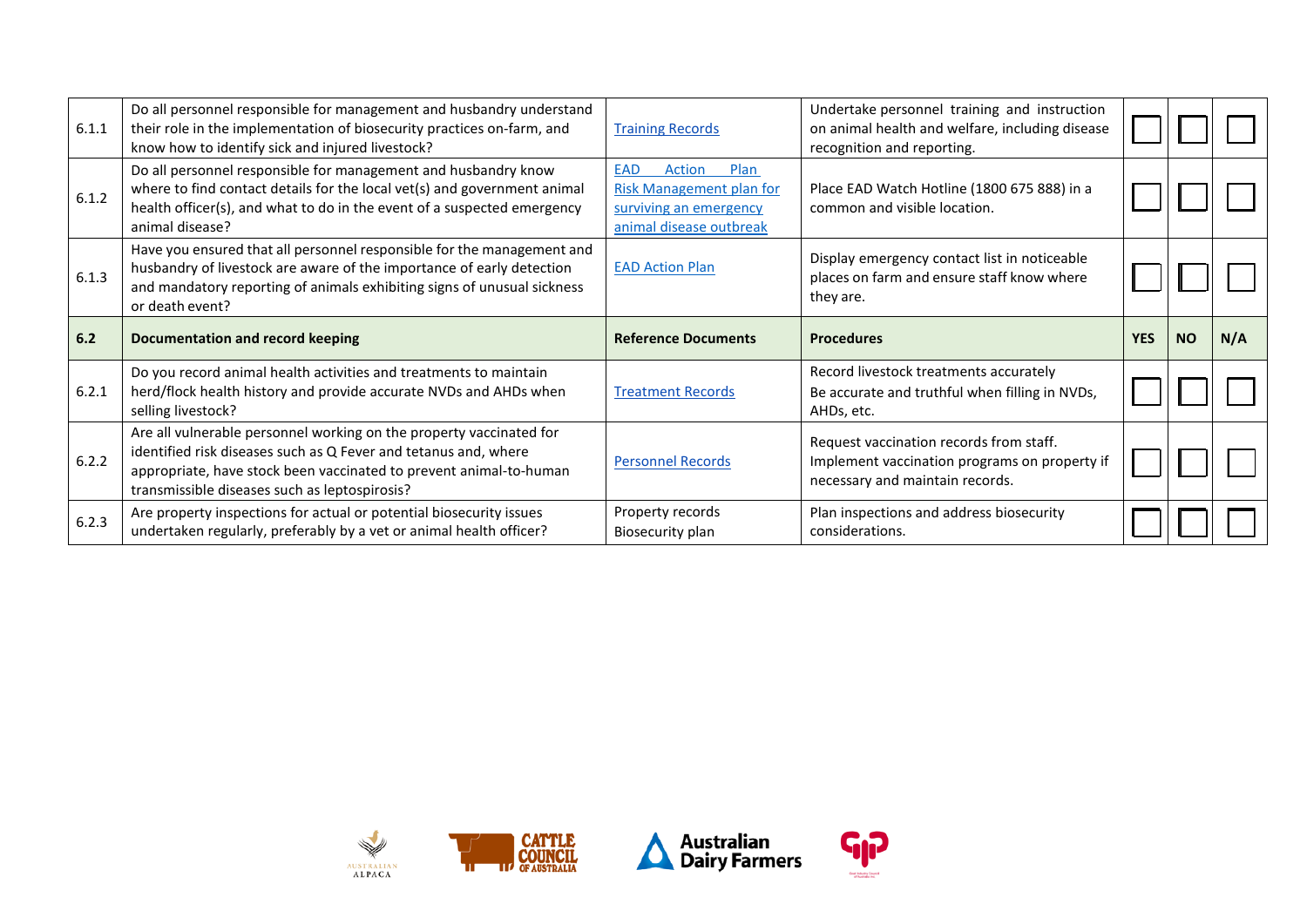| 6.1.1 | Do all personnel responsible for management and husbandry understand<br>their role in the implementation of biosecurity practices on-farm, and<br>know how to identify sick and injured livestock?                                                            | <b>Training Records</b>                                                                                              | Undertake personnel training and instruction<br>on animal health and welfare, including disease<br>recognition and reporting. |            |           |     |
|-------|---------------------------------------------------------------------------------------------------------------------------------------------------------------------------------------------------------------------------------------------------------------|----------------------------------------------------------------------------------------------------------------------|-------------------------------------------------------------------------------------------------------------------------------|------------|-----------|-----|
| 6.1.2 | Do all personnel responsible for management and husbandry know<br>where to find contact details for the local vet(s) and government animal<br>health officer(s), and what to do in the event of a suspected emergency<br>animal disease?                      | <b>EAD</b><br>Action<br>Plan<br><b>Risk Management plan for</b><br>surviving an emergency<br>animal disease outbreak | Place EAD Watch Hotline (1800 675 888) in a<br>common and visible location.                                                   |            |           |     |
| 6.1.3 | Have you ensured that all personnel responsible for the management and<br>husbandry of livestock are aware of the importance of early detection<br>and mandatory reporting of animals exhibiting signs of unusual sickness<br>or death event?                 | <b>EAD Action Plan</b>                                                                                               | Display emergency contact list in noticeable<br>places on farm and ensure staff know where<br>they are.                       |            |           |     |
|       |                                                                                                                                                                                                                                                               |                                                                                                                      |                                                                                                                               |            |           |     |
| 6.2   | <b>Documentation and record keeping</b>                                                                                                                                                                                                                       | <b>Reference Documents</b>                                                                                           | <b>Procedures</b>                                                                                                             | <b>YES</b> | <b>NO</b> | N/A |
| 6.2.1 | Do you record animal health activities and treatments to maintain<br>herd/flock health history and provide accurate NVDs and AHDs when<br>selling livestock?                                                                                                  | <b>Treatment Records</b>                                                                                             | Record livestock treatments accurately<br>Be accurate and truthful when filling in NVDs,<br>AHDs, etc.                        |            |           |     |
| 6.2.2 | Are all vulnerable personnel working on the property vaccinated for<br>identified risk diseases such as Q Fever and tetanus and, where<br>appropriate, have stock been vaccinated to prevent animal-to-human<br>transmissible diseases such as leptospirosis? | <b>Personnel Records</b>                                                                                             | Request vaccination records from staff.<br>Implement vaccination programs on property if<br>necessary and maintain records.   |            |           |     |





**<sup>ငျဉ</sup>** 

Goat Industry Council<br>of Australia Inc.